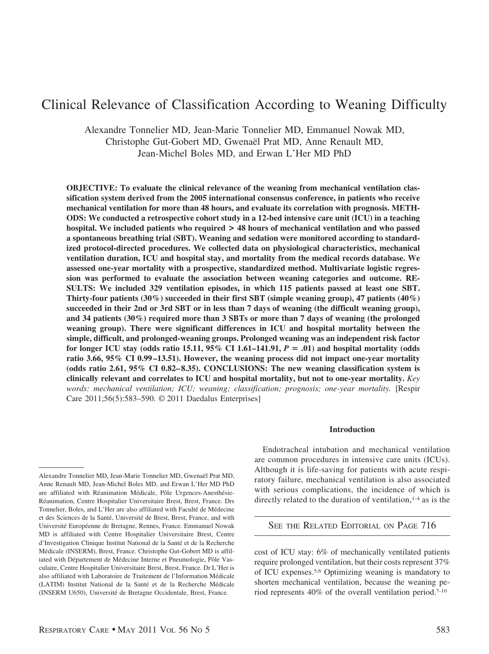# Clinical Relevance of Classification According to Weaning Difficulty

Alexandre Tonnelier MD, Jean-Marie Tonnelier MD, Emmanuel Nowak MD, Christophe Gut-Gobert MD, Gwenaël Prat MD, Anne Renault MD, Jean-Michel Boles MD, and Erwan L'Her MD PhD

**OBJECTIVE: To evaluate the clinical relevance of the weaning from mechanical ventilation classification system derived from the 2005 international consensus conference, in patients who receive mechanical ventilation for more than 48 hours, and evaluate its correlation with prognosis. METH-ODS: We conducted a retrospective cohort study in a 12-bed intensive care unit (ICU) in a teaching hospital. We included patients who required > 48 hours of mechanical ventilation and who passed a spontaneous breathing trial (SBT). Weaning and sedation were monitored according to standardized protocol-directed procedures. We collected data on physiological characteristics, mechanical ventilation duration, ICU and hospital stay, and mortality from the medical records database. We assessed one-year mortality with a prospective, standardized method. Multivariate logistic regression was performed to evaluate the association between weaning categories and outcome. RE-SULTS: We included 329 ventilation episodes, in which 115 patients passed at least one SBT. Thirty-four patients (30%) succeeded in their first SBT (simple weaning group), 47 patients (40%) succeeded in their 2nd or 3rd SBT or in less than 7 days of weaning (the difficult weaning group), and 34 patients (30%) required more than 3 SBTs or more than 7 days of weaning (the prolonged weaning group). There were significant differences in ICU and hospital mortality between the simple, difficult, and prolonged-weaning groups. Prolonged weaning was an independent risk factor for longer ICU stay (odds ratio 15.11, 95% CI 1.61–141.91,**  $P = .01$ **) and hospital mortality (odds ratio 3.66, 95% CI 0.99 –13.51). However, the weaning process did not impact one-year mortality (odds ratio 2.61, 95% CI 0.82– 8.35). CONCLUSIONS: The new weaning classification system is clinically relevant and correlates to ICU and hospital mortality, but not to one-year mortality.** *Key words: mechanical ventilation; ICU; weaning; classification; prognosis; one-year mortality.* [Respir Care 2011;56(5):583–590. © 2011 Daedalus Enterprises]

## **Introduction**

Endotracheal intubation and mechanical ventilation are common procedures in intensive care units (ICUs). Although it is life-saving for patients with acute respiratory failure, mechanical ventilation is also associated with serious complications, the incidence of which is directly related to the duration of ventilation, $1-4$  as is the

SEE THE RELATED EDITORIAL ON PAGE 716

cost of ICU stay: 6% of mechanically ventilated patients require prolonged ventilation, but their costs represent 37% of ICU expenses.5,6 Optimizing weaning is mandatory to shorten mechanical ventilation, because the weaning period represents 40% of the overall ventilation period.7-10

Alexandre Tonnelier MD, Jean-Marie Tonnelier MD, Gwenaël Prat MD Anne Renault MD, Jean-Michel Boles MD, and Erwan L'Her MD PhD are affiliated with Réanimation Médicale, Pôle Urgences-Anesthésie-Réanimation, Centre Hospitalier Universitaire Brest, Brest, France. Drs Tonnelier, Boles, and L'Her are also affiliated with Faculté de Médecine et des Sciences de la Santé, Université de Brest, Brest, France, and with Université Européenne de Bretagne, Rennes, France. Emmanuel Nowak MD is affiliated with Centre Hospitalier Universitaire Brest, Centre d'Investigation Clinique Institut National de la Sante´ et de la Recherche Médicale (INSERM), Brest, France. Christophe Gut-Gobert MD is affiliated with Département de Médecine Interne et Pneumologie, Pôle Vasculaire, Centre Hospitalier Universitaire Brest, Brest, France. Dr L'Her is also affiliated with Laboratoire de Traitement de l'Information Médicale (LATIM) Institut National de la Santé et de la Recherche Médicale (INSERM U650), Universite´ de Bretagne Occidentale, Brest, France.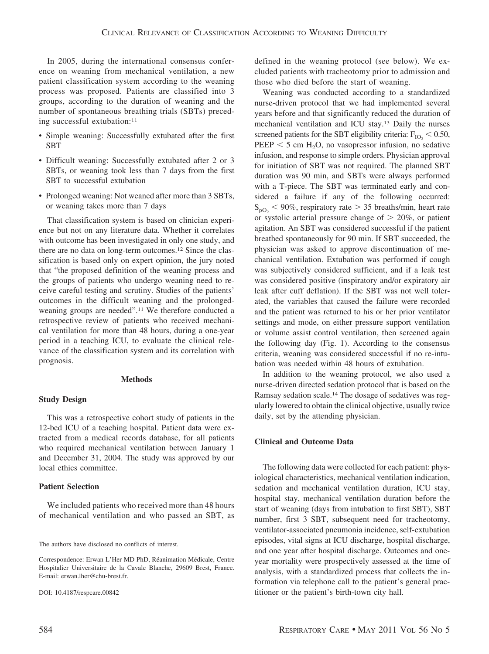In 2005, during the international consensus conference on weaning from mechanical ventilation, a new patient classification system according to the weaning process was proposed. Patients are classified into 3 groups, according to the duration of weaning and the number of spontaneous breathing trials (SBTs) preceding successful extubation:<sup>11</sup>

- Simple weaning: Successfully extubated after the first SBT
- Difficult weaning: Successfully extubated after 2 or 3 SBTs, or weaning took less than 7 days from the first SBT to successful extubation
- Prolonged weaning: Not weaned after more than 3 SBTs, or weaning takes more than 7 days

That classification system is based on clinician experience but not on any literature data. Whether it correlates with outcome has been investigated in only one study, and there are no data on long-term outcomes.12 Since the classification is based only on expert opinion, the jury noted that "the proposed definition of the weaning process and the groups of patients who undergo weaning need to receive careful testing and scrutiny. Studies of the patients' outcomes in the difficult weaning and the prolongedweaning groups are needed".11 We therefore conducted a retrospective review of patients who received mechanical ventilation for more than 48 hours, during a one-year period in a teaching ICU, to evaluate the clinical relevance of the classification system and its correlation with prognosis.

#### **Methods**

## **Study Design**

This was a retrospective cohort study of patients in the 12-bed ICU of a teaching hospital. Patient data were extracted from a medical records database, for all patients who required mechanical ventilation between January 1 and December 31, 2004. The study was approved by our local ethics committee.

## **Patient Selection**

We included patients who received more than 48 hours of mechanical ventilation and who passed an SBT, as

The authors have disclosed no conflicts of interest.

defined in the weaning protocol (see below). We excluded patients with tracheotomy prior to admission and those who died before the start of weaning.

Weaning was conducted according to a standardized nurse-driven protocol that we had implemented several years before and that significantly reduced the duration of mechanical ventilation and ICU stay.13 Daily the nurses screened patients for the SBT eligibility criteria:  $F_{IO} < 0.50$ ,  $PEEP < 5$  cm H<sub>2</sub>O, no vasopressor infusion, no sedative infusion, and response to simple orders. Physician approval for initiation of SBT was not required. The planned SBT duration was 90 min, and SBTs were always performed with a T-piece. The SBT was terminated early and considered a failure if any of the following occurred:  $S_{\text{pO}_2}$  < 90%, respiratory rate > 35 breaths/min, heart rate or systolic arterial pressure change of  $> 20\%$ , or patient agitation. An SBT was considered successful if the patient breathed spontaneously for 90 min. If SBT succeeded, the physician was asked to approve discontinuation of mechanical ventilation. Extubation was performed if cough was subjectively considered sufficient, and if a leak test was considered positive (inspiratory and/or expiratory air leak after cuff deflation). If the SBT was not well tolerated, the variables that caused the failure were recorded and the patient was returned to his or her prior ventilator settings and mode, on either pressure support ventilation or volume assist control ventilation, then screened again the following day (Fig. 1). According to the consensus criteria, weaning was considered successful if no re-intubation was needed within 48 hours of extubation.

In addition to the weaning protocol, we also used a nurse-driven directed sedation protocol that is based on the Ramsay sedation scale.14 The dosage of sedatives was regularly lowered to obtain the clinical objective, usually twice daily, set by the attending physician.

## **Clinical and Outcome Data**

The following data were collected for each patient: physiological characteristics, mechanical ventilation indication, sedation and mechanical ventilation duration, ICU stay, hospital stay, mechanical ventilation duration before the start of weaning (days from intubation to first SBT), SBT number, first 3 SBT, subsequent need for tracheotomy, ventilator-associated pneumonia incidence, self-extubation episodes, vital signs at ICU discharge, hospital discharge, and one year after hospital discharge. Outcomes and oneyear mortality were prospectively assessed at the time of analysis, with a standardized process that collects the information via telephone call to the patient's general practitioner or the patient's birth-town city hall.

Correspondence: Erwan L'Her MD PhD, Réanimation Médicale, Centre Hospitalier Universitaire de la Cavale Blanche, 29609 Brest, France. E-mail: erwan.lher@chu-brest.fr.

DOI: 10.4187/respcare.00842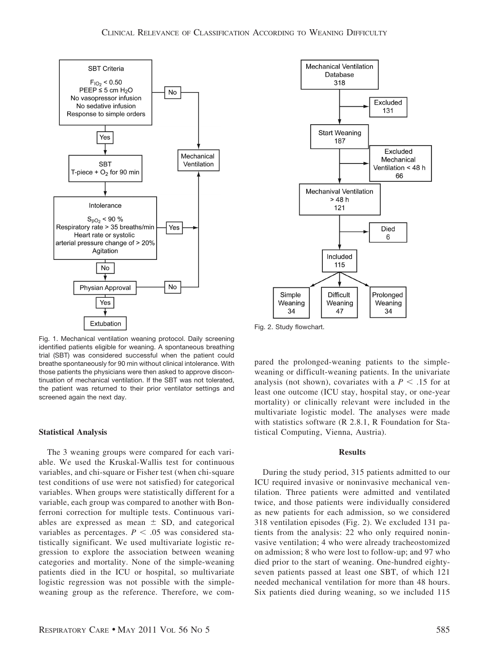

Fig. 1. Mechanical ventilation weaning protocol. Daily screening identified patients eligible for weaning. A spontaneous breathing trial (SBT) was considered successful when the patient could breathe spontaneously for 90 min without clinical intolerance. With those patients the physicians were then asked to approve discontinuation of mechanical ventilation. If the SBT was not tolerated, the patient was returned to their prior ventilator settings and screened again the next day.

## **Statistical Analysis**

The 3 weaning groups were compared for each variable. We used the Kruskal-Wallis test for continuous variables, and chi-square or Fisher test (when chi-square test conditions of use were not satisfied) for categorical variables. When groups were statistically different for a variable, each group was compared to another with Bonferroni correction for multiple tests. Continuous variables are expressed as mean  $\pm$  SD, and categorical variables as percentages.  $P < .05$  was considered statistically significant. We used multivariate logistic regression to explore the association between weaning categories and mortality. None of the simple-weaning patients died in the ICU or hospital, so multivariate logistic regression was not possible with the simpleweaning group as the reference. Therefore, we com-



Fig. 2. Study flowchart.

pared the prolonged-weaning patients to the simpleweaning or difficult-weaning patients. In the univariate analysis (not shown), covariates with a  $P < .15$  for at least one outcome (ICU stay, hospital stay, or one-year mortality) or clinically relevant were included in the multivariate logistic model. The analyses were made with statistics software (R 2.8.1, R Foundation for Statistical Computing, Vienna, Austria).

### **Results**

During the study period, 315 patients admitted to our ICU required invasive or noninvasive mechanical ventilation. Three patients were admitted and ventilated twice, and those patients were individually considered as new patients for each admission, so we considered 318 ventilation episodes (Fig. 2). We excluded 131 patients from the analysis: 22 who only required noninvasive ventilation; 4 who were already tracheostomized on admission; 8 who were lost to follow-up; and 97 who died prior to the start of weaning. One-hundred eightyseven patients passed at least one SBT, of which 121 needed mechanical ventilation for more than 48 hours. Six patients died during weaning, so we included 115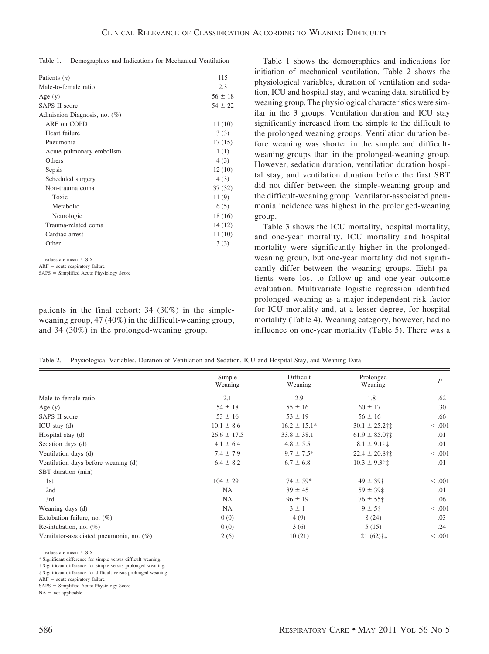Table 1. Demographics and Indications for Mechanical Ventilation

| Patients $(n)$                                                       | 115         |
|----------------------------------------------------------------------|-------------|
| Male-to-female ratio                                                 | 2.3         |
| Age $(y)$                                                            | $56 \pm 18$ |
| <b>SAPS II score</b>                                                 | $54 \pm 22$ |
| Admission Diagnosis, no. (%)                                         |             |
| ARF on COPD                                                          | 11(10)      |
| Heart failure                                                        | 3(3)        |
| Pneumonia                                                            | 17(15)      |
| Acute pulmonary embolism                                             | 1(1)        |
| Others                                                               | 4(3)        |
| Sepsis                                                               | 12(10)      |
| Scheduled surgery                                                    | 4(3)        |
| Non-trauma coma                                                      | 37(32)      |
| Toxic                                                                | 11(9)       |
| Metabolic                                                            | 6(5)        |
| Neurologic                                                           | 18 (16)     |
| Trauma-related coma                                                  | 14 (12)     |
| Cardiac arrest                                                       | 11 (10)     |
| Other                                                                | 3(3)        |
| $\pm$ values are mean $\pm$ SD.<br>$ARF = acute$ respiratory failure |             |
| SAPS = Simplified Acute Physiology Score                             |             |

patients in the final cohort: 34 (30%) in the simpleweaning group, 47 (40%) in the difficult-weaning group, and 34 (30%) in the prolonged-weaning group.

Table 1 shows the demographics and indications for initiation of mechanical ventilation. Table 2 shows the physiological variables, duration of ventilation and sedation, ICU and hospital stay, and weaning data, stratified by weaning group. The physiological characteristics were similar in the 3 groups. Ventilation duration and ICU stay significantly increased from the simple to the difficult to the prolonged weaning groups. Ventilation duration before weaning was shorter in the simple and difficultweaning groups than in the prolonged-weaning group. However, sedation duration, ventilation duration hospital stay, and ventilation duration before the first SBT did not differ between the simple-weaning group and the difficult-weaning group. Ventilator-associated pneumonia incidence was highest in the prolonged-weaning group.

Table 3 shows the ICU mortality, hospital mortality, and one-year mortality. ICU mortality and hospital mortality were significantly higher in the prolongedweaning group, but one-year mortality did not significantly differ between the weaning groups. Eight patients were lost to follow-up and one-year outcome evaluation. Multivariate logistic regression identified prolonged weaning as a major independent risk factor for ICU mortality and, at a lesser degree, for hospital mortality (Table 4). Weaning category, however, had no influence on one-year mortality (Table 5). There was a

Table 2. Physiological Variables, Duration of Ventilation and Sedation, ICU and Hospital Stay, and Weaning Data

|                                             | Simple<br>Weaning | Difficult<br>Weaning | Prolonged<br>Weaning | $\overline{P}$ |
|---------------------------------------------|-------------------|----------------------|----------------------|----------------|
| Male-to-female ratio                        | 2.1               | 2.9                  | 1.8                  | .62            |
| Age $(y)$                                   | $54 \pm 18$       | $55 \pm 16$          | $60 \pm 17$          | .30            |
| SAPS II score                               | $53 \pm 16$       | $53 \pm 19$          | $56 \pm 16$          | .66            |
| $ICU$ stay $(d)$                            | $10.1 \pm 8.6$    | $16.2 \pm 15.1*$     | $30.1 \pm 25.2$ †‡   | < 0.001        |
| Hospital stay (d)                           | $26.6 \pm 17.5$   | $33.8 \pm 38.1$      | $61.9 \pm 85.0$ †‡   | .01            |
| Sedation days (d)                           | $4.1 \pm 6.4$     | $4.8 \pm 5.5$        | $8.1 \pm 9.1$ †‡     | .01            |
| Ventilation days (d)                        | $7.4 \pm 7.9$     | $9.7 \pm 7.5^*$      | $22.4 \pm 20.8$ †‡   | < 0.001        |
| Ventilation days before weaning (d)         | $6.4 \pm 8.2$     | $6.7 \pm 6.8$        | $10.3 \pm 9.3$ †‡    | .01            |
| SBT duration (min)                          |                   |                      |                      |                |
| 1st                                         | $104 \pm 29$      | $74 \pm 59*$         | $49 \pm 39$ †        | < 0.001        |
| 2nd                                         | <b>NA</b>         | $89 \pm 45$          | $59 \pm 39$ $\pm$    | .01            |
| 3rd                                         | NA                | $96 \pm 19$          | $76 \pm 55$ ±        | .06            |
| Weaning days (d)                            | NA                | $3 \pm 1$            | $9 \pm 5$ ±          | < .001         |
| Extubation failure, no. $(\%)$              | 0(0)              | 4(9)                 | 8(24)                | .03            |
| Re-intubation, no. $(\%)$                   | 0(0)              | 3(6)                 | 5(15)                | .24            |
| Ventilator-associated pneumonia, no. $(\%)$ | 2(6)              | 10(21)               | $21(62)$ †‡          | < 0.001        |

 $\pm$  values are mean  $\pm$  SD.

\* Significant difference for simple versus difficult weaning.

† Significant difference for simple versus prolonged weaning.

‡ Significant difference for difficult versus prolonged weaning.  $ARF = acute$  respiratory failure

SAPS = Simplified Acute Physiology Score

 $NA = not applicable$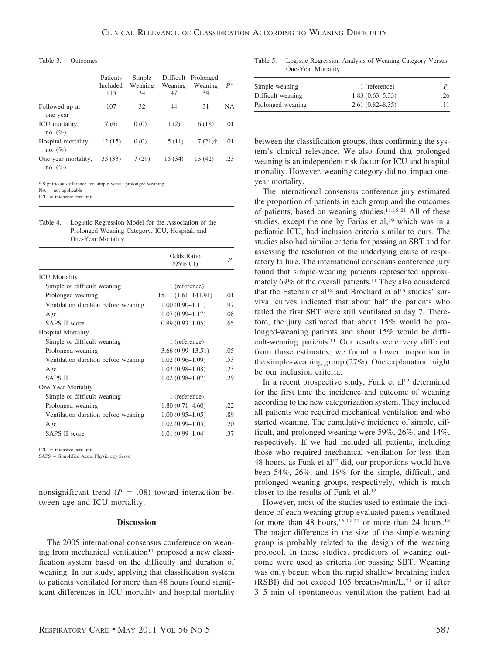Table 3. Outcomes

|                                   | Patients<br>Included<br>115 | Simple<br>Weaning<br>34 | Weaning<br>47 | Difficult Prolonged<br>Weaning<br>34 | $P*$      |
|-----------------------------------|-----------------------------|-------------------------|---------------|--------------------------------------|-----------|
| Followed up at<br>one year        | 107                         | 32                      | 44            | 31                                   | <b>NA</b> |
| ICU mortality,<br>no. $(\%)$      | 7(6)                        | 0(0)                    | 1(2)          | 6(18)                                | .01       |
| Hospital mortality,<br>no. $(\%)$ | 12(15)                      | 0(0)                    | 5(11)         | $7(21)$ †                            | .01       |
| One year mortality,<br>no. $(\%)$ | 35 (33)                     | 7(29)                   | 15 (34)       | 13 (42)                              | .23       |

\* Significant difference for simple versus prolonged weaning.

 $NA = not applicable$ 

 $ICU =$  intensive care unit

| Table 4. | Logistic Regression Model for the Association of the |
|----------|------------------------------------------------------|
|          | Prolonged Weaning Category, ICU, Hospital, and       |
|          | One-Year Mortality                                   |

|                                            | Odds Ratio<br>$(95\% \text{ CI})$ | P   |
|--------------------------------------------|-----------------------------------|-----|
| <b>ICU</b> Mortality                       |                                   |     |
| Simple or difficult weaning                | 1 (reference)                     |     |
| Prolonged weaning                          | $15.11(1.61 - 141.91)$            | .01 |
| Ventilation duration before weaning        | $1.00(0.90-1.11)$                 | .97 |
| Age                                        | $1.07(0.99 - 1.17)$               | .08 |
| <b>SAPS II score</b>                       | $0.99(0.93 - 1.05)$               | .65 |
| <b>Hospital Mortality</b>                  |                                   |     |
| Simple or difficult weaning                | 1 (reference)                     |     |
| Prolonged weaning                          | $3.66(0.99 - 13.51)$              | .05 |
| Ventilation duration before weaning        | $1.02(0.96-1.09)$                 | .53 |
| Age                                        | $1.03(0.98-1.08)$                 | .23 |
| <b>SAPS II</b>                             | $1.02(0.98 - 1.07)$               | .29 |
| One-Year Mortality                         |                                   |     |
| Simple or difficult weaning                | 1 (reference)                     |     |
| Prolonged weaning                          | $1.80(0.71 - 4.60)$               | 22  |
| Ventilation duration before weaning        | $1.00(0.95-1.05)$                 | .89 |
| Age                                        | $1.02(0.99-1.05)$                 | .20 |
| <b>SAPS II score</b>                       | $1.01(0.99-1.04)$                 | .37 |
| $ICU =$ intensive care unit                |                                   |     |
| $SAPS = Simplified$ Acute Physiology Score |                                   |     |

nonsignificant trend  $(P = .08)$  toward interaction between age and ICU mortality.

## **Discussion**

The 2005 international consensus conference on weaning from mechanical ventilation<sup>11</sup> proposed a new classification system based on the difficulty and duration of weaning. In our study, applying that classification system to patients ventilated for more than 48 hours found significant differences in ICU mortality and hospital mortality

Table 5. Logistic Regression Analysis of Weaning Category Versus One-Year Mortality

| Simple weaning    | 1 (reference)       |     |
|-------------------|---------------------|-----|
| Difficult weaning | $1.83(0.63 - 5.33)$ | .26 |
| Prolonged weaning | $2.61(0.82 - 8.35)$ |     |

between the classification groups, thus confirming the system's clinical relevance. We also found that prolonged weaning is an independent risk factor for ICU and hospital mortality. However, weaning category did not impact oneyear mortality.

The international consensus conference jury estimated the proportion of patients in each group and the outcomes of patients, based on weaning studies.11,15-21 All of these studies, except the one by Farias et al,<sup>19</sup> which was in a pediatric ICU, had inclusion criteria similar to ours. The studies also had similar criteria for passing an SBT and for assessing the resolution of the underlying cause of respiratory failure. The international consensus conference jury found that simple-weaning patients represented approximately 69% of the overall patients.11 They also considered that the Esteban et al<sup>18</sup> and Brochard et al<sup>15</sup> studies' survival curves indicated that about half the patients who failed the first SBT were still ventilated at day 7. Therefore, the jury estimated that about 15% would be prolonged-weaning patients and about 15% would be difficult-weaning patients.11 Our results were very different from those estimates; we found a lower proportion in the simple-weaning group (27%). One explanation might be our inclusion criteria.

In a recent prospective study, Funk et al<sup>12</sup> determined for the first time the incidence and outcome of weaning according to the new categorization system. They included all patients who required mechanical ventilation and who started weaning. The cumulative incidence of simple, difficult, and prolonged weaning were 59%, 26%, and 14%, respectively. If we had included all patients, including those who required mechanical ventilation for less than 48 hours, as Funk et al<sup>12</sup> did, our proportions would have been 54%, 26%, and 19% for the simple, difficult, and prolonged weaning groups, respectively, which is much closer to the results of Funk et al.12

However, most of the studies used to estimate the incidence of each weaning group evaluated patents ventilated for more than 48 hours,<sup>16,19-21</sup> or more than 24 hours.<sup>18</sup> The major difference in the size of the simple-weaning group is probably related to the design of the weaning protocol. In those studies, predictors of weaning outcome were used as criteria for passing SBT. Weaning was only begun when the rapid shallow breathing index (RSBI) did not exceed 105 breaths/min/L, $^{21}$  or if after 3–5 min of spontaneous ventilation the patient had at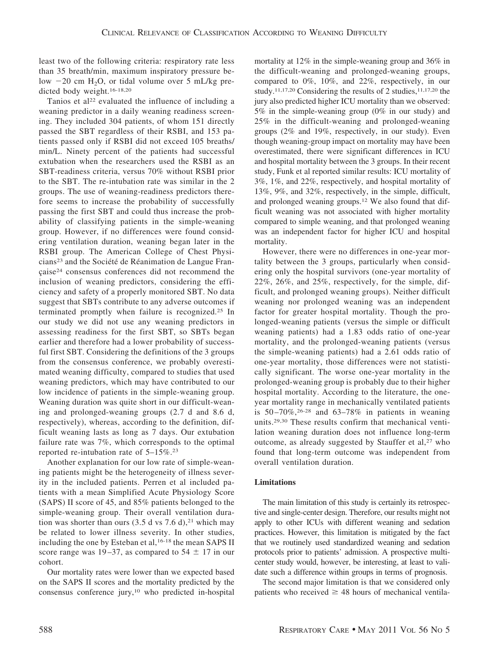least two of the following criteria: respiratory rate less than 35 breath/min, maximum inspiratory pressure below  $-20$  cm H<sub>2</sub>O, or tidal volume over 5 mL/kg predicted body weight.16-18,20

Tanios et al<sup>22</sup> evaluated the influence of including a weaning predictor in a daily weaning readiness screening. They included 304 patients, of whom 151 directly passed the SBT regardless of their RSBI, and 153 patients passed only if RSBI did not exceed 105 breaths/ min/L. Ninety percent of the patients had successful extubation when the researchers used the RSBI as an SBT-readiness criteria, versus 70% without RSBI prior to the SBT. The re-intubation rate was similar in the 2 groups. The use of weaning-readiness predictors therefore seems to increase the probability of successfully passing the first SBT and could thus increase the probability of classifying patients in the simple-weaning group. However, if no differences were found considering ventilation duration, weaning began later in the RSBI group. The American College of Chest Physicians<sup>23</sup> and the Société de Réanimation de Langue Française<sup>24</sup> consensus conferences did not recommend the inclusion of weaning predictors, considering the efficiency and safety of a properly monitored SBT. No data suggest that SBTs contribute to any adverse outcomes if terminated promptly when failure is recognized.25 In our study we did not use any weaning predictors in assessing readiness for the first SBT, so SBTs began earlier and therefore had a lower probability of successful first SBT. Considering the definitions of the 3 groups from the consensus conference, we probably overestimated weaning difficulty, compared to studies that used weaning predictors, which may have contributed to our low incidence of patients in the simple-weaning group. Weaning duration was quite short in our difficult-weaning and prolonged-weaning groups (2.7 d and 8.6 d, respectively), whereas, according to the definition, difficult weaning lasts as long as 7 days. Our extubation failure rate was 7%, which corresponds to the optimal reported re-intubation rate of 5–15%.23

Another explanation for our low rate of simple-weaning patients might be the heterogeneity of illness severity in the included patients. Perren et al included patients with a mean Simplified Acute Physiology Score (SAPS) II score of 45, and 85% patients belonged to the simple-weaning group. Their overall ventilation duration was shorter than ours  $(3.5 d \text{ vs } 7.6 d)$ ,<sup>21</sup> which may be related to lower illness severity. In other studies, including the one by Esteban et al,<sup>16-18</sup> the mean SAPS II score range was 19–37, as compared to 54  $\pm$  17 in our cohort.

Our mortality rates were lower than we expected based on the SAPS II scores and the mortality predicted by the consensus conference jury,10 who predicted in-hospital mortality at 12% in the simple-weaning group and 36% in the difficult-weaning and prolonged-weaning groups, compared to 0%, 10%, and 22%, respectively, in our study.<sup>11,17,20</sup> Considering the results of 2 studies,<sup>11,17,20</sup> the jury also predicted higher ICU mortality than we observed: 5% in the simple-weaning group (0% in our study) and 25% in the difficult-weaning and prolonged-weaning groups (2% and 19%, respectively, in our study). Even though weaning-group impact on mortality may have been overestimated, there were significant differences in ICU and hospital mortality between the 3 groups. In their recent study, Funk et al reported similar results: ICU mortality of 3%, 1%, and 22%, respectively, and hospital mortality of 13%, 9%, and 32%, respectively, in the simple, difficult, and prolonged weaning groups.12 We also found that difficult weaning was not associated with higher mortality compared to simple weaning, and that prolonged weaning was an independent factor for higher ICU and hospital mortality.

However, there were no differences in one-year mortality between the 3 groups, particularly when considering only the hospital survivors (one-year mortality of 22%, 26%, and 25%, respectively, for the simple, difficult, and prolonged weaning groups). Neither difficult weaning nor prolonged weaning was an independent factor for greater hospital mortality. Though the prolonged-weaning patients (versus the simple or difficult weaning patients) had a 1.83 odds ratio of one-year mortality, and the prolonged-weaning patients (versus the simple-weaning patients) had a 2.61 odds ratio of one-year mortality, those differences were not statistically significant. The worse one-year mortality in the prolonged-weaning group is probably due to their higher hospital mortality. According to the literature, the oneyear mortality range in mechanically ventilated patients is  $50 - 70\%$ , <sup>26-28</sup> and  $63 - 78\%$  in patients in weaning units.29,30 These results confirm that mechanical ventilation weaning duration does not influence long-term outcome, as already suggested by Stauffer et al,<sup>27</sup> who found that long-term outcome was independent from overall ventilation duration.

# **Limitations**

The main limitation of this study is certainly its retrospective and single-center design. Therefore, our results might not apply to other ICUs with different weaning and sedation practices. However, this limitation is mitigated by the fact that we routinely used standardized weaning and sedation protocols prior to patients' admission. A prospective multicenter study would, however, be interesting, at least to validate such a difference within groups in terms of prognosis.

The second major limitation is that we considered only patients who received  $\geq$  48 hours of mechanical ventila-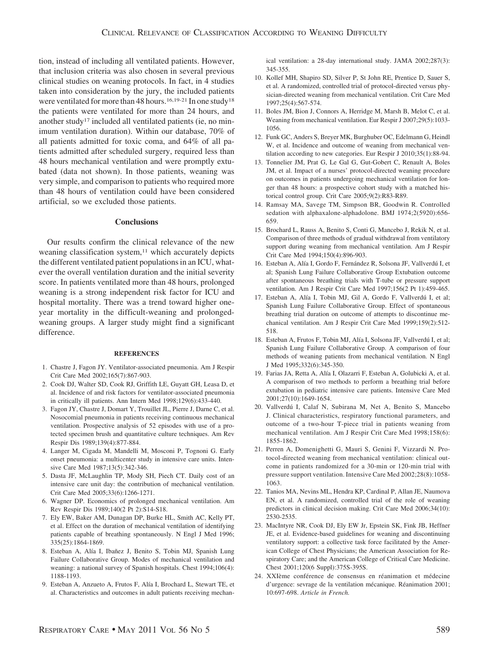tion, instead of including all ventilated patients. However, that inclusion criteria was also chosen in several previous clinical studies on weaning protocols. In fact, in 4 studies taken into consideration by the jury, the included patients were ventilated for more than 48 hours.<sup>16,19-21</sup> In one study<sup>18</sup> the patients were ventilated for more than 24 hours, and another study<sup>17</sup> included all ventilated patients (ie, no minimum ventilation duration). Within our database, 70% of all patients admitted for toxic coma, and 64% of all patients admitted after scheduled surgery, required less than 48 hours mechanical ventilation and were promptly extubated (data not shown). In those patients, weaning was very simple, and comparison to patients who required more than 48 hours of ventilation could have been considered artificial, so we excluded those patients.

## **Conclusions**

Our results confirm the clinical relevance of the new weaning classification system,<sup>11</sup> which accurately depicts the different ventilated patient populations in an ICU, whatever the overall ventilation duration and the initial severity score. In patients ventilated more than 48 hours, prolonged weaning is a strong independent risk factor for ICU and hospital mortality. There was a trend toward higher oneyear mortality in the difficult-weaning and prolongedweaning groups. A larger study might find a significant difference.

#### **REFERENCES**

- 1. Chastre J, Fagon JY. Ventilator-associated pneumonia. Am J Respir Crit Care Med 2002;165(7):867-903.
- 2. Cook DJ, Walter SD, Cook RJ, Griffith LE, Guyatt GH, Leasa D, et al. Incidence of and risk factors for ventilator-associated pneumonia in critically ill patients. Ann Intern Med 1998;129(6):433-440.
- 3. Fagon JY, Chastre J, Domart Y, Trouillet JL, Pierre J, Darne C, et al. Nosocomial pneumonia in patients receiving continuous mechanical ventilation. Prospective analysis of 52 episodes with use of a protected specimen brush and quantitative culture techniques. Am Rev Respir Dis 1989;139(4):877-884.
- 4. Langer M, Cigada M, Mandelli M, Mosconi P, Tognoni G. Early onset pneumonia: a multicenter study in intensive care units. Intensive Care Med 1987;13(5):342-346.
- 5. Dasta JF, McLaughlin TP, Mody SH, Piech CT. Daily cost of an intensive care unit day: the contribution of mechanical ventilation. Crit Care Med 2005;33(6):1266-1271.
- 6. Wagner DP. Economics of prolonged mechanical ventilation. Am Rev Respir Dis 1989;140(2 Pt 2):S14-S18.
- 7. Ely EW, Baker AM, Dunagan DP, Burke HL, Smith AC, Kelly PT, et al. Effect on the duration of mechanical ventilation of identifying patients capable of breathing spontaneously. N Engl J Med 1996; 335(25):1864-1869.
- 8. Esteban A, Alía I, Ibañez J, Benito S, Tobin MJ, Spanish Lung Failure Collaborative Group. Modes of mechanical ventilation and weaning: a national survey of Spanish hospitals. Chest 1994;106(4): 1188-1193.
- 9. Esteban A, Anzueto A, Frutos F, Alía I, Brochard L, Stewart TE, et al. Characteristics and outcomes in adult patients receiving mechan-

ical ventilation: a 28-day international study. JAMA 2002;287(3): 345-355.

- 10. Kollef MH, Shapiro SD, Silver P, St John RE, Prentice D, Sauer S, et al. A randomized, controlled trial of protocol-directed versus physician-directed weaning from mechanical ventilation. Crit Care Med 1997;25(4):567-574.
- 11. Boles JM, Bion J, Connors A, Herridge M, Marsh B, Melot C, et al. Weaning from mechanical ventilation. Eur Respir J 2007;29(5):1033- 1056.
- 12. Funk GC, Anders S, Breyer MK, Burghuber OC, Edelmann G, Heindl W, et al. Incidence and outcome of weaning from mechanical ventilation according to new categories. Eur Respir J 2010;35(1):88-94.
- 13. Tonnelier JM, Prat G, Le Gal G, Gut-Gobert C, Renault A, Boles JM, et al. Impact of a nurses' protocol-directed weaning procedure on outcomes in patients undergoing mechanical ventilation for longer than 48 hours: a prospective cohort study with a matched historical control group. Crit Care 2005;9(2):R83-R89.
- 14. Ramsay MA, Savege TM, Simpson BR, Goodwin R. Controlled sedation with alphaxalone-alphadolone. BMJ 1974;2(5920):656- 659.
- 15. Brochard L, Rauss A, Benito S, Conti G, Mancebo J, Rekik N, et al. Comparison of three methods of gradual withdrawal from ventilatory support during weaning from mechanical ventilation. Am J Respir Crit Care Med 1994;150(4):896-903.
- 16. Esteban A, Alía I, Gordo F, Fernández R, Solsona JF, Vallverdú I, et al; Spanish Lung Failure Collaborative Group Extubation outcome after spontaneous breathing trials with T-tube or pressure support ventilation. Am J Respir Crit Care Med 1997;156(2 Pt 1):459-465.
- 17. Esteban A, Alía I, Tobin MJ, Gil A, Gordo F, Vallverdú I, et al; Spanish Lung Failure Collaborative Group. Effect of spontaneous breathing trial duration on outcome of attempts to discontinue mechanical ventilation. Am J Respir Crit Care Med 1999;159(2):512- 518.
- 18. Esteban A, Frutos F, Tobin MJ, Alía I, Solsona JF, Vallverdú I, et al; Spanish Lung Failure Collaborative Group. A comparison of four methods of weaning patients from mechanical ventilation. N Engl J Med 1995;332(6):345-350.
- 19. Farias JA, Retta A, Alía I, Olazarri F, Esteban A, Golubicki A, et al. A comparison of two methods to perform a breathing trial before extubation in pediatric intensive care patients. Intensive Care Med 2001;27(10):1649-1654.
- 20. Vallverdú I, Calaf N, Subirana M, Net A, Benito S, Mancebo J. Clinical characteristics, respiratory functional parameters, and outcome of a two-hour T-piece trial in patients weaning from mechanical ventilation. Am J Respir Crit Care Med 1998;158(6): 1855-1862.
- 21. Perren A, Domenighetti G, Mauri S, Genini F, Vizzardi N. Protocol-directed weaning from mechanical ventilation: clinical outcome in patients randomized for a 30-min or 120-min trial with pressure support ventilation. Intensive Care Med 2002;28(8):1058- 1063.
- 22. Tanios MA, Nevins ML, Hendra KP, Cardinal P, Allan JE, Naumova EN, et al. A randomized, controlled trial of the role of weaning predictors in clinical decision making. Crit Care Med 2006;34(10): 2530-2535.
- 23. MacIntyre NR, Cook DJ, Ely EW Jr, Epstein SK, Fink JB, Heffner JE, et al. Evidence-based guidelines for weaning and discontinuing ventilatory support: a collective task force facilitated by the American College of Chest Physicians; the American Association for Respiratory Care; and the American College of Critical Care Medicine. Chest 2001;120(6 Suppl):375S-395S.
- 24. XXIème conférence de consensus en réanimation et médecine d'urgence: sevrage de la ventilation mécanique. Réanimation 2001; 10:697-698. *Article in French.*